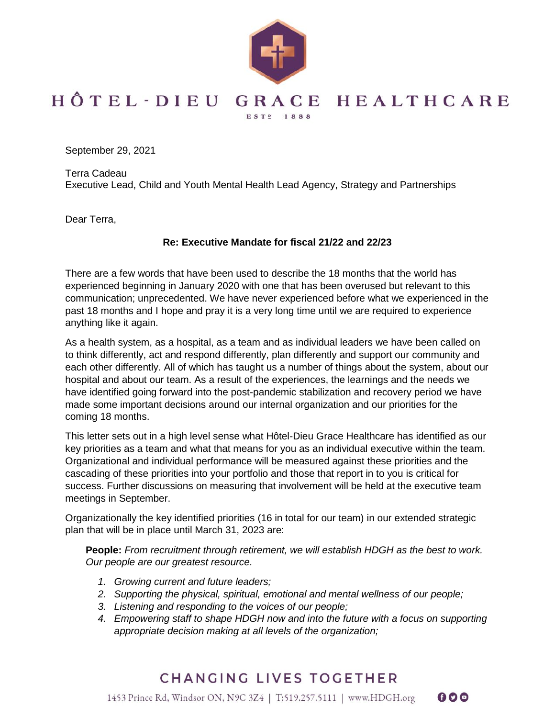

## HÔTEL-DIEU GRACE HEALTHCARE EST2 1888

September 29, 2021

Terra Cadeau Executive Lead, Child and Youth Mental Health Lead Agency, Strategy and Partnerships

Dear Terra,

## **Re: Executive Mandate for fiscal 21/22 and 22/23**

There are a few words that have been used to describe the 18 months that the world has experienced beginning in January 2020 with one that has been overused but relevant to this communication; unprecedented. We have never experienced before what we experienced in the past 18 months and I hope and pray it is a very long time until we are required to experience anything like it again.

As a health system, as a hospital, as a team and as individual leaders we have been called on to think differently, act and respond differently, plan differently and support our community and each other differently. All of which has taught us a number of things about the system, about our hospital and about our team. As a result of the experiences, the learnings and the needs we have identified going forward into the post-pandemic stabilization and recovery period we have made some important decisions around our internal organization and our priorities for the coming 18 months.

This letter sets out in a high level sense what Hôtel-Dieu Grace Healthcare has identified as our key priorities as a team and what that means for you as an individual executive within the team. Organizational and individual performance will be measured against these priorities and the cascading of these priorities into your portfolio and those that report in to you is critical for success. Further discussions on measuring that involvement will be held at the executive team meetings in September.

Organizationally the key identified priorities (16 in total for our team) in our extended strategic plan that will be in place until March 31, 2023 are:

**People:** *From recruitment through retirement, we will establish HDGH as the best to work. Our people are our greatest resource.*

- *1. Growing current and future leaders;*
- *2. Supporting the physical, spiritual, emotional and mental wellness of our people;*
- *3. Listening and responding to the voices of our people;*
- *4. Empowering staff to shape HDGH now and into the future with a focus on supporting appropriate decision making at all levels of the organization;*

000

## CHANGING LIVES TOGETHER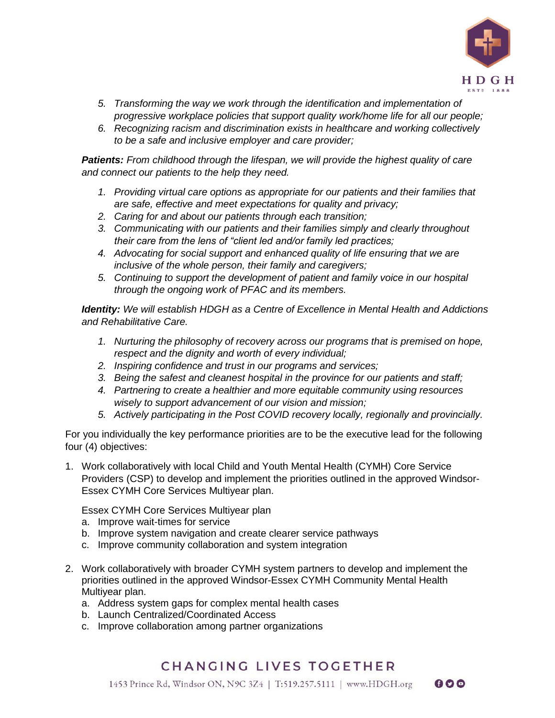

 $000$ 

- *5. Transforming the way we work through the identification and implementation of progressive workplace policies that support quality work/home life for all our people;*
- *6. Recognizing racism and discrimination exists in healthcare and working collectively to be a safe and inclusive employer and care provider;*

*Patients: From childhood through the lifespan, we will provide the highest quality of care and connect our patients to the help they need.* 

- *1. Providing virtual care options as appropriate for our patients and their families that are safe, effective and meet expectations for quality and privacy;*
- *2. Caring for and about our patients through each transition;*
- *3. Communicating with our patients and their families simply and clearly throughout their care from the lens of "client led and/or family led practices;*
- *4. Advocating for social support and enhanced quality of life ensuring that we are inclusive of the whole person, their family and caregivers;*
- *5. Continuing to support the development of patient and family voice in our hospital through the ongoing work of PFAC and its members.*

*Identity: We will establish HDGH as a Centre of Excellence in Mental Health and Addictions and Rehabilitative Care.* 

- *1. Nurturing the philosophy of recovery across our programs that is premised on hope, respect and the dignity and worth of every individual;*
- *2. Inspiring confidence and trust in our programs and services;*
- *3. Being the safest and cleanest hospital in the province for our patients and staff;*
- *4. Partnering to create a healthier and more equitable community using resources wisely to support advancement of our vision and mission;*
- *5. Actively participating in the Post COVID recovery locally, regionally and provincially.*

For you individually the key performance priorities are to be the executive lead for the following four (4) objectives:

1. Work collaboratively with local Child and Youth Mental Health (CYMH) Core Service Providers (CSP) to develop and implement the priorities outlined in the approved Windsor-Essex CYMH Core Services Multiyear plan.

Essex CYMH Core Services Multiyear plan

- a. Improve wait-times for service
- b. Improve system navigation and create clearer service pathways
- c. Improve community collaboration and system integration
- 2. Work collaboratively with broader CYMH system partners to develop and implement the priorities outlined in the approved Windsor-Essex CYMH Community Mental Health Multiyear plan.
	- a. Address system gaps for complex mental health cases
	- b. Launch Centralized/Coordinated Access
	- c. Improve collaboration among partner organizations